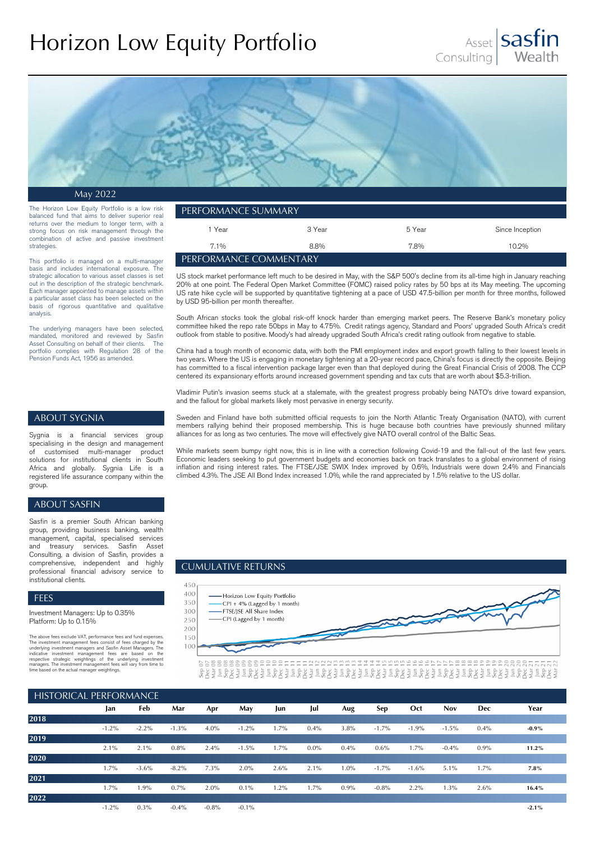# Horizon Low Equity Portfolio





May 2022

The Horizon Low Equity Portfolio is a low risk balanced fund that aims to deliver superior real returns over the medium to longer term, with a strong focus on risk management through the combination of active and passive investment strategies.

This portfolio is managed on a multi-manager basis and includes international exposure. The strategic allocation to various asset classes is set out in the description of the strategic benchmark. Each manager appointed to manage assets within a particular asset class has been selected on the basis of rigorous quantitative and qualitative analysis.

The underlying managers have been selected, mandated, monitored and reviewed by Sasfin Asset Consulting on behalf of their clients. The portfolio complies with Regulation 28 of the Pension Funds Act, 1956 as amended.

| ' performance summary. |        |        |                 |  |  |  |  |
|------------------------|--------|--------|-----------------|--|--|--|--|
| l Year                 | 3 Year | 5 Year | Since Inception |  |  |  |  |
| $7.1\%$                | 8.8%   | 7.8%   | 10.2%           |  |  |  |  |
| PERFORMANCE COMMENTARY |        |        |                 |  |  |  |  |

US stock market performance left much to be desired in May, with the S&P 500's decline from its all-time high in January reaching 20% at one point. The Federal Open Market Committee (FOMC) raised policy rates by 50 bps at its May meeting. The upcoming US rate hike cycle will be supported by quantitative tightening at a pace of USD 47.5-billion per month for three months, followed by USD 95-billion per month thereafter.

South African stocks took the global risk-off knock harder than emerging market peers. The Reserve Bank's monetary policy committee hiked the repo rate 50bps in May to 4.75%. Credit ratings agency, Standard and Poors' upgraded South Africa's credit outlook from stable to positive. Moody's had already upgraded South Africa's credit rating outlook from negative to stable.

China had a tough month of economic data, with both the PMI employment index and export growth falling to their lowest levels in two years. Where the US is engaging in monetary tightening at a 20-year record pace, China's focus is directly the opposite. Beijing has committed to a fiscal intervention package larger even than that deployed during the Great Financial Crisis of 2008. The CCP centered its expansionary efforts around increased government spending and tax cuts that are worth about \$5.3-trillion.

Vladimir Putin's invasion seems stuck at a stalemate, with the greatest progress probably being NATO's drive toward expansion, and the fallout for global markets likely most pervasive in energy security.

# ABOUT SYGNIA

Sygnia is a financial services group specialising in the design and management<br>of customised multi-manager product customised multi-manager product solutions for institutional clients in South Africa and globally. Sygnia Life is a registered life assurance company within the group.

## ABOUT SASFIN

Sasfin is a premier South African banking group, providing business banking, wealth management, capital, specialised services treasury services. Sasfin Asset Consulting, a division of Sasfin, provides a comprehensive, independent and highly professional financial advisory service to institutional clients.

#### FEES

Investment Managers: Up to 0.35% Platform: Up to 0.15%

The above fees exclude VAT, performance fees and fund expenses.<br>The investment management fees consist of fees charged by the<br>underlying investment management fees consist of fees are based on the<br>underlying investment man

Sweden and Finland have both submitted official requests to join the North Atlantic Treaty Organisation (NATO), with current members rallying behind their proposed membership. This is huge because both countries have previously shunned military alliances for as long as two centuries. The move will effectively give NATO overall control of the Baltic Seas.

While markets seem bumpy right now, this is in line with a correction following Covid-19 and the fall-out of the last few years. Economic leaders seeking to put government budgets and economies back on track translates to a global environment of rising inflation and rising interest rates. The FTSE/JSE SWIX Index improved by 0.6%, Industrials were down 2.4% and Financials climbed 4.3%. The JSE All Bond Index increased 1.0%, while the rand appreciated by 1.5% relative to the US dollar.

### CUMULATIVE RETURNS



| <b>HISTORICAL PERFORMANCE</b> |          |         |          |         |          |      |         |         |         |          |            |            |          |
|-------------------------------|----------|---------|----------|---------|----------|------|---------|---------|---------|----------|------------|------------|----------|
|                               | Jan      | Feb     | Mar      | Apr     | May      | Jun  | Jul     | Aug     | Sep     | Oct      | <b>Nov</b> | <b>Dec</b> | Year     |
| 2018                          |          |         |          |         |          |      |         |         |         |          |            |            |          |
|                               | $-1.2\%$ | $-2.2%$ | $-1.3\%$ | $4.0\%$ | $-1.2\%$ | 1.7% | $0.4\%$ | 3.8%    | $-1.7%$ | $-1.9\%$ | $-1.5%$    | $0.4\%$    | $-0.9\%$ |
| 2019                          |          |         |          |         |          |      |         |         |         |          |            |            |          |
|                               | 2.1%     | $2.1\%$ | 0.8%     | $2.4\%$ | $-1.5%$  | 1.7% | $0.0\%$ | $0.4\%$ | 0.6%    | 1.7%     | $-0.4%$    | 0.9%       | 11.2%    |
| 2020                          |          |         |          |         |          |      |         |         |         |          |            |            |          |
|                               | 1.7%     | $-3.6%$ | $-8.2\%$ | 7.3%    | $2.0\%$  | 2.6% | $2.1\%$ | $1.0\%$ | $-1.7%$ | $-1.6%$  | 5.1%       | $1.7\%$    | 7.8%     |
| 2021                          |          |         |          |         |          |      |         |         |         |          |            |            |          |
|                               | 1.7%     | 1.9%    | 0.7%     | 2.0%    | $0.1\%$  | 1.2% | 1.7%    | 0.9%    | $-0.8%$ | 2.2%     | 1.3%       | 2.6%       | 16.4%    |
| 2022                          |          |         |          |         |          |      |         |         |         |          |            |            |          |
|                               | $-1.2\%$ | $0.3\%$ | $-0.4%$  | $-0.8%$ | $-0.1%$  |      |         |         |         |          |            |            | $-2.1%$  |